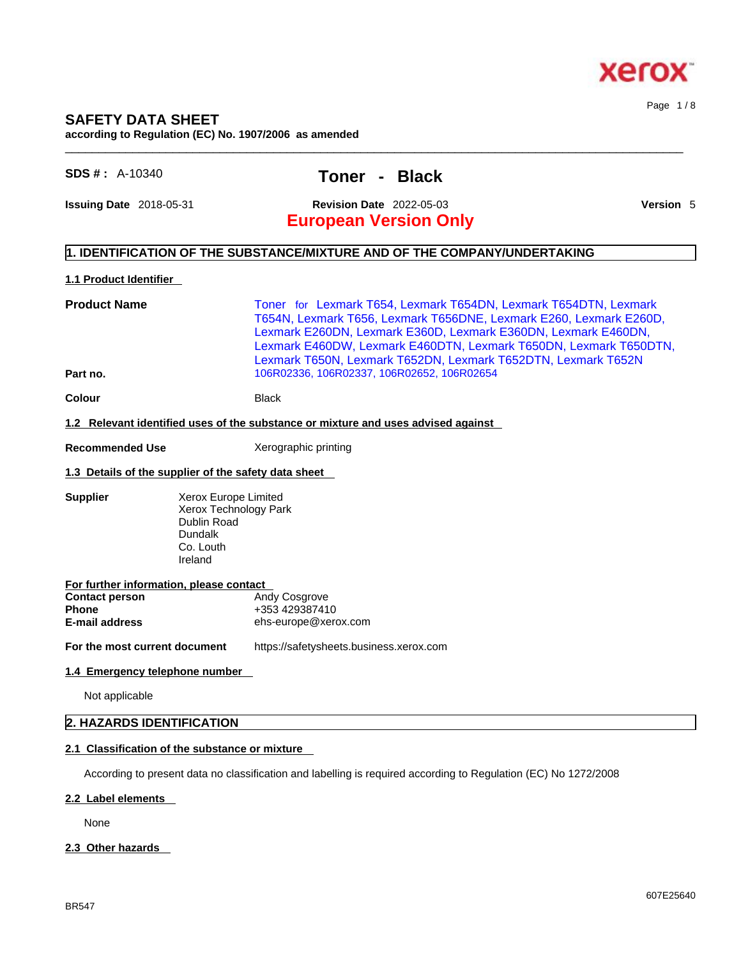

## **SAFETY DATA SHEET**

**according to Regulation (EC) No. 1907/2006 as amended** 

### **SDS # :** A-10340 **Toner - Black**

**Issuing Date** 2018-05-31 **Revision Date** 2022-05-03 **Version** 5

Page 1 / 8

## **European Version Only**

#### **1. IDENTIFICATION OF THE SUBSTANCE/MIXTURE AND OF THE COMPANY/UNDERTAKING**

#### **1.1 Product Identifier**

**Product Name Toner for Lexmark T654, Lexmark T654DN, Lexmark T654DTN, Lexmark** T654N, Lexmark T656, Lexmark T656DNE, Lexmark E260, Lexmark E260D, Lexmark E260DN, Lexmark E360D, Lexmark E360DN, Lexmark E460DN, Lexmark E460DW, Lexmark E460DTN, Lexmark T650DN, Lexmark T650DTN, Lexmark T650N, Lexmark T652DN, Lexmark T652DTN, Lexmark T652N **Part no.** 106R02336, 106R02337, 106R02652, 106R02654

 $\_$  ,  $\_$  ,  $\_$  ,  $\_$  ,  $\_$  ,  $\_$  ,  $\_$  ,  $\_$  ,  $\_$  ,  $\_$  ,  $\_$  ,  $\_$  ,  $\_$  ,  $\_$  ,  $\_$  ,  $\_$  ,  $\_$  ,  $\_$  ,  $\_$  ,  $\_$  ,  $\_$  ,  $\_$  ,  $\_$  ,  $\_$  ,  $\_$  ,  $\_$  ,  $\_$  ,  $\_$  ,  $\_$  ,  $\_$  ,  $\_$  ,  $\_$  ,  $\_$  ,  $\_$  ,  $\_$  ,  $\_$  ,  $\_$  ,

**Colour Black** 

**1.2 Relevant identified uses of the substance or mixture and uses advised against**

**Recommended Use** Xerographic printing

#### **1.3 Details of the supplier of the safety data sheet**

**Supplier** Xerox Europe Limited Xerox Technology Park Dublin Road Dundalk Co. Louth Ireland

| For further information, please contact |                      |  |  |
|-----------------------------------------|----------------------|--|--|
| <b>Contact person</b>                   | <b>Andy Cosgrove</b> |  |  |
| <b>Phone</b>                            | +353 429387410       |  |  |
| E-mail address                          | ehs-europe@xerox.com |  |  |
|                                         |                      |  |  |

**For the most current document** https://safetysheets.business.xerox.com

#### **1.4 Emergency telephone number**

Not applicable

#### **2. HAZARDS IDENTIFICATION**

#### **2.1 Classification of the substance or mixture**

According to present data no classification and labelling is required according to Regulation (EC) No 1272/2008

#### **2.2 Label elements**

None

#### **2.3 Other hazards**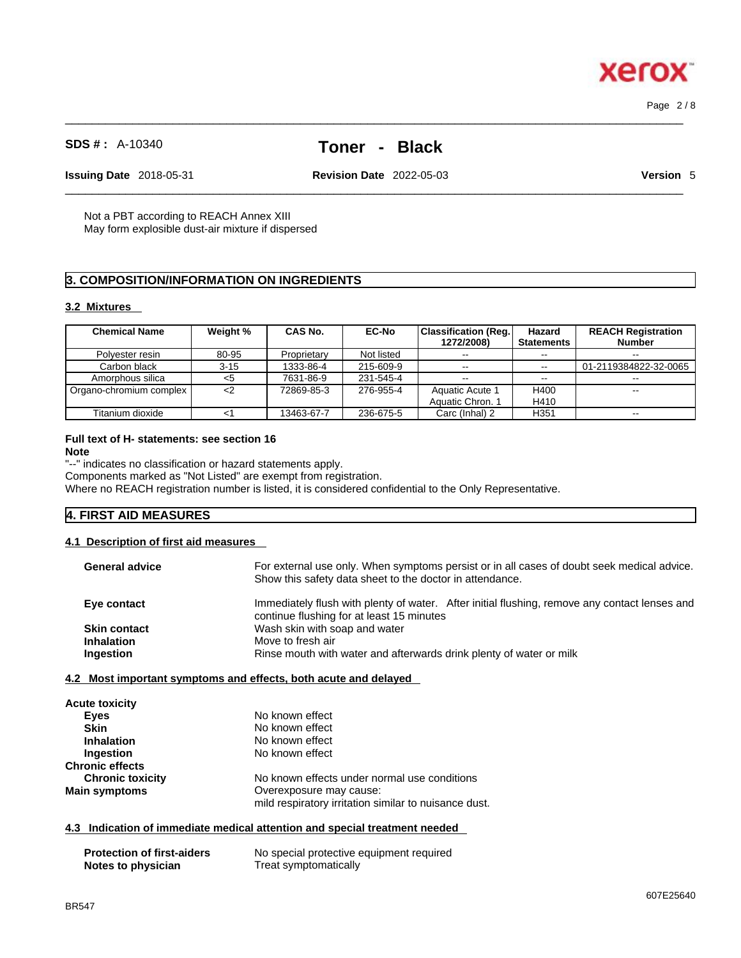# $\_$  ,  $\_$  ,  $\_$  ,  $\_$  ,  $\_$  ,  $\_$  ,  $\_$  ,  $\_$  ,  $\_$  ,  $\_$  ,  $\_$  ,  $\_$  ,  $\_$  ,  $\_$  ,  $\_$  ,  $\_$  ,  $\_$  ,  $\_$  ,  $\_$  ,  $\_$  ,  $\_$  ,  $\_$  ,  $\_$  ,  $\_$  ,  $\_$  ,  $\_$  ,  $\_$  ,  $\_$  ,  $\_$  ,  $\_$  ,  $\_$  ,  $\_$  ,  $\_$  ,  $\_$  ,  $\_$  ,  $\_$  ,  $\_$  ,

**Issuing Date** 2018-05-31 **Revision Date** 2022-05-03 **Version** 5

 $\_$  ,  $\_$  ,  $\_$  ,  $\_$  ,  $\_$  ,  $\_$  ,  $\_$  ,  $\_$  ,  $\_$  ,  $\_$  ,  $\_$  ,  $\_$  ,  $\_$  ,  $\_$  ,  $\_$  ,  $\_$  ,  $\_$  ,  $\_$  ,  $\_$  ,  $\_$  ,  $\_$  ,  $\_$  ,  $\_$  ,  $\_$  ,  $\_$  ,  $\_$  ,  $\_$  ,  $\_$  ,  $\_$  ,  $\_$  ,  $\_$  ,  $\_$  ,  $\_$  ,  $\_$  ,  $\_$  ,  $\_$  ,  $\_$  ,

Not a PBT according to REACH Annex XIII May form explosible dust-air mixture if dispersed

### **3. COMPOSITION/INFORMATION ON INGREDIENTS**

**SDS # :** A-10340 **Toner - Black**

### **3.2 Mixtures**

| <b>Chemical Name</b>    | Weight % | CAS No.     | <b>EC-No</b> | <b>Classification (Reg.</b><br>1272/2008) | Hazard<br><b>Statements</b> | <b>REACH Registration</b><br><b>Number</b> |
|-------------------------|----------|-------------|--------------|-------------------------------------------|-----------------------------|--------------------------------------------|
| Polvester resin         | 80-95    | Proprietary | Not listed   | $- -$                                     | --                          |                                            |
| Carbon black            | $3 - 15$ | 1333-86-4   | 215-609-9    | $- -$                                     | $\sim$                      | 01-2119384822-32-0065                      |
| Amorphous silica        | <5       | 7631-86-9   | 231-545-4    | $- -$                                     | $-1$                        |                                            |
| Organo-chromium complex | <2       | 72869-85-3  | 276-955-4    | Aquatic Acute 1                           | H400                        | $- -$                                      |
|                         |          |             |              | Aquatic Chron. 1                          | H410                        |                                            |
| Titanium dioxide        | <1       | 13463-67-7  | 236-675-5    | Carc (Inhal) 2                            | H <sub>351</sub>            |                                            |

#### **Full text of H- statements: see section 16 Note**

"--" indicates no classification or hazard statements apply.

Components marked as "Not Listed" are exempt from registration.

Where no REACH registration number is listed, it is considered confidential to the Only Representative.

### **4. FIRST AID MEASURES**

### **4.1 Description of first aid measures**

| <b>General advice</b>  | For external use only. When symptoms persist or in all cases of doubt seek medical advice.<br>Show this safety data sheet to the doctor in attendance. |
|------------------------|--------------------------------------------------------------------------------------------------------------------------------------------------------|
| Eye contact            | Immediately flush with plenty of water. After initial flushing, remove any contact lenses and<br>continue flushing for at least 15 minutes             |
| <b>Skin contact</b>    | Wash skin with soap and water                                                                                                                          |
| <b>Inhalation</b>      | Move to fresh air                                                                                                                                      |
| Ingestion              | Rinse mouth with water and afterwards drink plenty of water or milk                                                                                    |
| <b>Acute toxicity</b>  | 4.2 Most important symptoms and effects, both acute and delayed                                                                                        |
| <b>Eyes</b>            | No known effect                                                                                                                                        |
| <b>Skin</b>            | No known effect                                                                                                                                        |
| <b>Inhalation</b>      | No known effect                                                                                                                                        |
| Ingestion              | No known effect                                                                                                                                        |
| <b>Chronic effects</b> |                                                                                                                                                        |

| <b>Chronic toxicity</b> | No known effects under normal use conditions          |
|-------------------------|-------------------------------------------------------|
| <b>Main symptoms</b>    | Overexposure may cause:                               |
|                         | mild respiratory irritation similar to nuisance dust. |

### **4.3 Indication of immediate medical attention and special treatment needed**

| <b>Protection of first-aiders</b> | No special protective equipment required |
|-----------------------------------|------------------------------------------|
| Notes to physician                | Treat symptomatically                    |



Page 2 / 8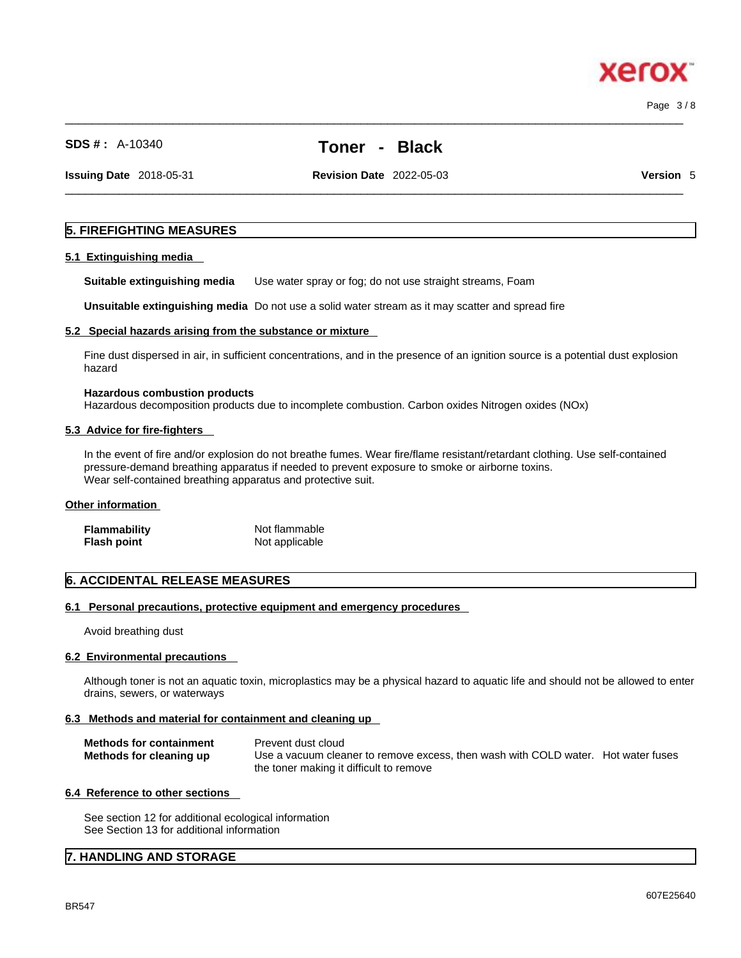607E25640

# Page 3 / 8

xerc

### **SDS # :** A-10340 **Toner - Black**

**Issuing Date** 2018-05-31 **Revision Date** 2022-05-03 **Version** 5

 $\_$  ,  $\_$  ,  $\_$  ,  $\_$  ,  $\_$  ,  $\_$  ,  $\_$  ,  $\_$  ,  $\_$  ,  $\_$  ,  $\_$  ,  $\_$  ,  $\_$  ,  $\_$  ,  $\_$  ,  $\_$  ,  $\_$  ,  $\_$  ,  $\_$  ,  $\_$  ,  $\_$  ,  $\_$  ,  $\_$  ,  $\_$  ,  $\_$  ,  $\_$  ,  $\_$  ,  $\_$  ,  $\_$  ,  $\_$  ,  $\_$  ,  $\_$  ,  $\_$  ,  $\_$  ,  $\_$  ,  $\_$  ,  $\_$  ,

 $\_$  ,  $\_$  ,  $\_$  ,  $\_$  ,  $\_$  ,  $\_$  ,  $\_$  ,  $\_$  ,  $\_$  ,  $\_$  ,  $\_$  ,  $\_$  ,  $\_$  ,  $\_$  ,  $\_$  ,  $\_$  ,  $\_$  ,  $\_$  ,  $\_$  ,  $\_$  ,  $\_$  ,  $\_$  ,  $\_$  ,  $\_$  ,  $\_$  ,  $\_$  ,  $\_$  ,  $\_$  ,  $\_$  ,  $\_$  ,  $\_$  ,  $\_$  ,  $\_$  ,  $\_$  ,  $\_$  ,  $\_$  ,  $\_$  ,

#### **5. FIREFIGHTING MEASURES**

#### **5.1 Extinguishing media**

**Suitable extinguishing media** Use water spray or fog; do not use straight streams, Foam

**Unsuitable extinguishing media** Do not use a solid water stream as it may scatterand spread fire

#### **5.2 Special hazards arising from the substance or mixture**

Fine dust dispersed in air, in sufficient concentrations, and in the presence of an ignition source is a potential dust explosion hazard

#### **Hazardous combustion products** Hazardous decomposition products due to incomplete combustion. Carbon oxides Nitrogen oxides (NOx)

#### **5.3 Advice for fire-fighters**

In the event of fire and/or explosion do not breathe fumes. Wear fire/flame resistant/retardant clothing. Use self-contained pressure-demand breathing apparatus if needed to prevent exposure to smoke or airborne toxins. Wear self-contained breathing apparatus and protective suit.

#### **Other information**

| <b>Flammability</b> | Not flammable  |  |
|---------------------|----------------|--|
| <b>Flash point</b>  | Not applicable |  |

#### **6. ACCIDENTAL RELEASE MEASURES**

#### **6.1 Personal precautions, protective equipment and emergency procedures**

Avoid breathing dust

#### **6.2 Environmental precautions**

Although toner is not an aquatic toxin, microplastics may be a physical hazard to aquatic life and should not be allowed to enter drains, sewers, or waterways

#### **6.3 Methods and material for containment and cleaning up**

| <b>Methods for containment</b> | Prevent dust cloud                                                                |
|--------------------------------|-----------------------------------------------------------------------------------|
| Methods for cleaning up        | Use a vacuum cleaner to remove excess, then wash with COLD water. Hot water fuses |
|                                | the toner making it difficult to remove                                           |

#### **6.4 Reference to other sections**

See section 12 for additional ecological information See Section 13 for additional information

#### **7. HANDLING AND STORAGE**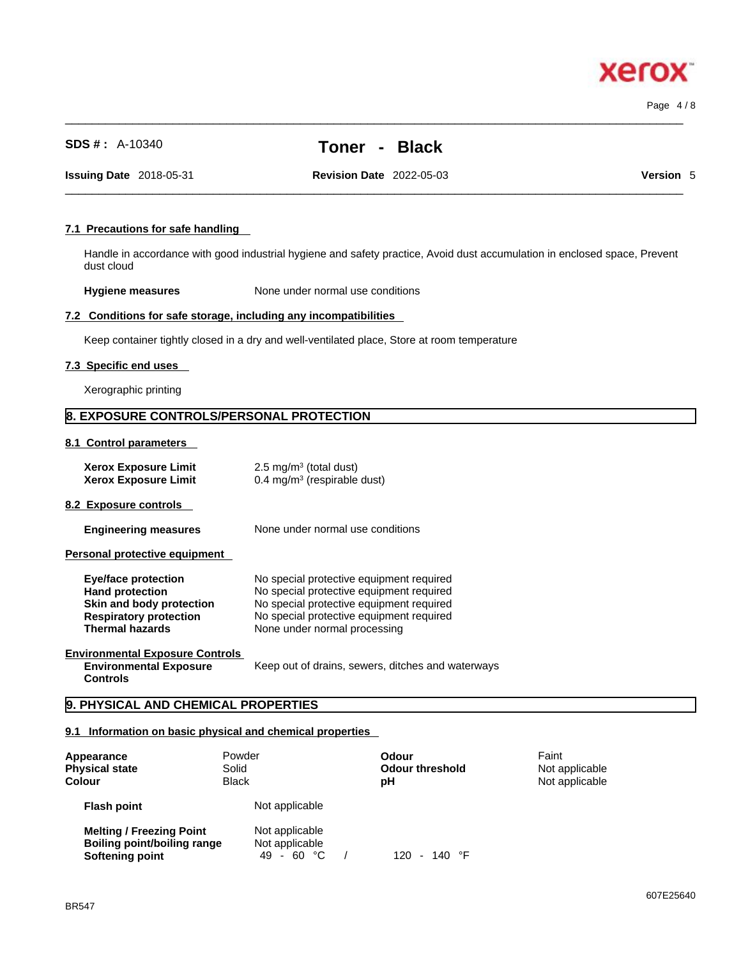Page 4 / 8

xero

## **SDS # :** A-10340 **Toner - Black**

**Issuing Date** 2018-05-31 **Revision Date** 2022-05-03 **Version** 5

 $\_$  ,  $\_$  ,  $\_$  ,  $\_$  ,  $\_$  ,  $\_$  ,  $\_$  ,  $\_$  ,  $\_$  ,  $\_$  ,  $\_$  ,  $\_$  ,  $\_$  ,  $\_$  ,  $\_$  ,  $\_$  ,  $\_$  ,  $\_$  ,  $\_$  ,  $\_$  ,  $\_$  ,  $\_$  ,  $\_$  ,  $\_$  ,  $\_$  ,  $\_$  ,  $\_$  ,  $\_$  ,  $\_$  ,  $\_$  ,  $\_$  ,  $\_$  ,  $\_$  ,  $\_$  ,  $\_$  ,  $\_$  ,  $\_$  ,

 $\_$  ,  $\_$  ,  $\_$  ,  $\_$  ,  $\_$  ,  $\_$  ,  $\_$  ,  $\_$  ,  $\_$  ,  $\_$  ,  $\_$  ,  $\_$  ,  $\_$  ,  $\_$  ,  $\_$  ,  $\_$  ,  $\_$  ,  $\_$  ,  $\_$  ,  $\_$  ,  $\_$  ,  $\_$  ,  $\_$  ,  $\_$  ,  $\_$  ,  $\_$  ,  $\_$  ,  $\_$  ,  $\_$  ,  $\_$  ,  $\_$  ,  $\_$  ,  $\_$  ,  $\_$  ,  $\_$  ,  $\_$  ,  $\_$  ,

#### **7.1 Precautions for safe handling**

Handle in accordance with good industrial hygiene and safety practice, Avoid dust accumulation in enclosed space, Prevent dust cloud

**Hygiene measures** None under normal use conditions

#### **7.2 Conditions for safe storage, including any incompatibilities**

Keep container tightly closed in a dry and well-ventilated place, Store at room temperature

#### **7.3 Specific end uses**

Xerographic printing

#### **8. EXPOSURE CONTROLS/PERSONAL PROTECTION**

**8.1 Control parameters** 

| <b>Xerox Exposure Limit</b> | $2.5 \text{ mg/m}^3$ (total dust)      |
|-----------------------------|----------------------------------------|
| <b>Xerox Exposure Limit</b> | $0.4 \text{ mg/m}^3$ (respirable dust) |

**8.2 Exposure controls** 

**Engineering measures** None under normal use conditions

**Personal protective equipment** 

| Eye/face protection           | No special protective equipment required |
|-------------------------------|------------------------------------------|
| <b>Hand protection</b>        | No special protective equipment required |
| Skin and body protection      | No special protective equipment required |
| <b>Respiratory protection</b> | No special protective equipment required |
| <b>Thermal hazards</b>        | None under normal processing             |

#### **Environmental Exposure Controls Environmental Exposure**

**Controls** 

Keep out of drains, sewers, ditches and waterways

### **9. PHYSICAL AND CHEMICAL PROPERTIES**

#### **9.1 Information on basic physical and chemical properties**

| Appearance<br><b>Physical state</b><br><b>Colour</b>                              | Powder<br>Solid<br><b>Black</b>                | Odour<br><b>Odour threshold</b><br>рH | Faint<br>Not applicable<br>Not applicable |
|-----------------------------------------------------------------------------------|------------------------------------------------|---------------------------------------|-------------------------------------------|
| <b>Flash point</b>                                                                | Not applicable                                 |                                       |                                           |
| <b>Melting / Freezing Point</b><br>Boiling point/boiling range<br>Softening point | Not applicable<br>Not applicable<br>49 - 60 °C | - 140 °F<br>120.                      |                                           |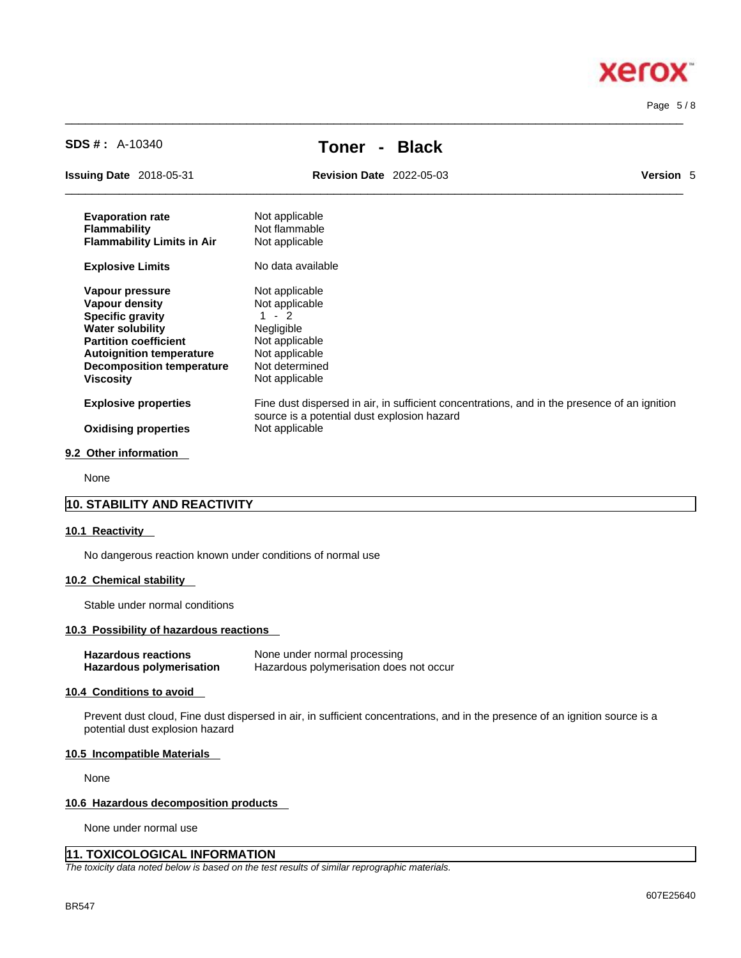Page 5 / 8

**Xerox** 

| <b>SDS #:</b> $A-10340$           | <b>Black</b><br>Toner                                                                                                                       |           |
|-----------------------------------|---------------------------------------------------------------------------------------------------------------------------------------------|-----------|
| <b>Issuing Date</b> 2018-05-31    | <b>Revision Date 2022-05-03</b>                                                                                                             | Version 5 |
| <b>Evaporation rate</b>           | Not applicable                                                                                                                              |           |
| <b>Flammability</b>               | Not flammable                                                                                                                               |           |
| <b>Flammability Limits in Air</b> | Not applicable                                                                                                                              |           |
| <b>Explosive Limits</b>           | No data available                                                                                                                           |           |
| Vapour pressure                   | Not applicable                                                                                                                              |           |
| <b>Vapour density</b>             | Not applicable                                                                                                                              |           |
| <b>Specific gravity</b>           | $-2$                                                                                                                                        |           |
| <b>Water solubility</b>           | Negligible                                                                                                                                  |           |
| <b>Partition coefficient</b>      | Not applicable                                                                                                                              |           |
| <b>Autoignition temperature</b>   | Not applicable                                                                                                                              |           |
| <b>Decomposition temperature</b>  | Not determined                                                                                                                              |           |
| <b>Viscosity</b>                  | Not applicable                                                                                                                              |           |
| <b>Explosive properties</b>       | Fine dust dispersed in air, in sufficient concentrations, and in the presence of an ignition<br>source is a potential dust explosion hazard |           |
| <b>Oxidising properties</b>       | Not applicable                                                                                                                              |           |

 $\_$  ,  $\_$  ,  $\_$  ,  $\_$  ,  $\_$  ,  $\_$  ,  $\_$  ,  $\_$  ,  $\_$  ,  $\_$  ,  $\_$  ,  $\_$  ,  $\_$  ,  $\_$  ,  $\_$  ,  $\_$  ,  $\_$  ,  $\_$  ,  $\_$  ,  $\_$  ,  $\_$  ,  $\_$  ,  $\_$  ,  $\_$  ,  $\_$  ,  $\_$  ,  $\_$  ,  $\_$  ,  $\_$  ,  $\_$  ,  $\_$  ,  $\_$  ,  $\_$  ,  $\_$  ,  $\_$  ,  $\_$  ,  $\_$  ,

#### **9.2 Other information**

None

#### **10. STABILITY AND REACTIVITY**

#### **10.1 Reactivity**

No dangerous reaction known under conditions of normal use

#### **10.2 Chemical stability**

Stable under normal conditions

#### **10.3 Possibility of hazardous reactions**

| <b>Hazardous reactions</b> | None under normal processing            |
|----------------------------|-----------------------------------------|
| Hazardous polymerisation   | Hazardous polymerisation does not occur |

#### **10.4 Conditions to avoid**

Prevent dust cloud, Fine dust dispersed in air, in sufficient concentrations, and in the presence of an ignition source is a potential dust explosion hazard

#### **10.5 Incompatible Materials**

None

#### **10.6 Hazardous decomposition products**

None under normal use

#### **11. TOXICOLOGICAL INFORMATION**

*The toxicity data noted below is based on the test results of similar reprographic materials.*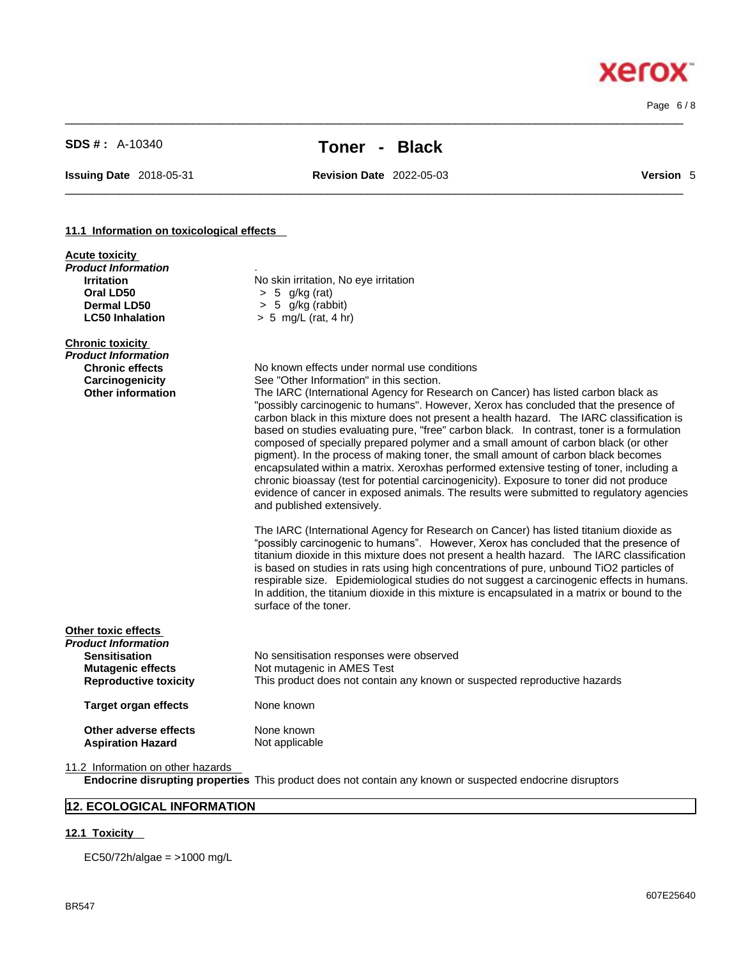$\_$  ,  $\_$  ,  $\_$  ,  $\_$  ,  $\_$  ,  $\_$  ,  $\_$  ,  $\_$  ,  $\_$  ,  $\_$  ,  $\_$  ,  $\_$  ,  $\_$  ,  $\_$  ,  $\_$  ,  $\_$  ,  $\_$  ,  $\_$  ,  $\_$  ,  $\_$  ,  $\_$  ,  $\_$  ,  $\_$  ,  $\_$  ,  $\_$  ,  $\_$  ,  $\_$  ,  $\_$  ,  $\_$  ,  $\_$  ,  $\_$  ,  $\_$  ,  $\_$  ,  $\_$  ,  $\_$  ,  $\_$  ,  $\_$  , Page 6 / 8

**Xerox** 

# **SDS # :** A-10340 **Toner - Black**

 $\_$  ,  $\_$  ,  $\_$  ,  $\_$  ,  $\_$  ,  $\_$  ,  $\_$  ,  $\_$  ,  $\_$  ,  $\_$  ,  $\_$  ,  $\_$  ,  $\_$  ,  $\_$  ,  $\_$  ,  $\_$  ,  $\_$  ,  $\_$  ,  $\_$  ,  $\_$  ,  $\_$  ,  $\_$  ,  $\_$  ,  $\_$  ,  $\_$  ,  $\_$  ,  $\_$  ,  $\_$  ,  $\_$  ,  $\_$  ,  $\_$  ,  $\_$  ,  $\_$  ,  $\_$  ,  $\_$  ,  $\_$  ,  $\_$  ,

**Issuing Date** 2018-05-31 **Revision Date** 2022-05-03 **Version** 5

#### **11.1 Information on toxicological effects**

| <b>Acute toxicity</b><br><b>Product Information</b><br><b>Irritation</b><br>Oral LD50<br><b>Dermal LD50</b><br><b>LC50 Inhalation</b> | No skin irritation, No eye irritation<br>$> 5$ g/kg (rat)<br>$> 5$ g/kg (rabbit)<br>$> 5$ mg/L (rat, 4 hr)                                                                                                                                                                                                                                                                                                                                                                                                                                                                                                                                                                                                                                                                                                                                                                                                                                                      |
|---------------------------------------------------------------------------------------------------------------------------------------|-----------------------------------------------------------------------------------------------------------------------------------------------------------------------------------------------------------------------------------------------------------------------------------------------------------------------------------------------------------------------------------------------------------------------------------------------------------------------------------------------------------------------------------------------------------------------------------------------------------------------------------------------------------------------------------------------------------------------------------------------------------------------------------------------------------------------------------------------------------------------------------------------------------------------------------------------------------------|
| <b>Chronic toxicity</b><br>Product Information<br><b>Chronic effects</b><br>Carcinogenicity<br><b>Other information</b>               | No known effects under normal use conditions<br>See "Other Information" in this section.<br>The IARC (International Agency for Research on Cancer) has listed carbon black as<br>"possibly carcinogenic to humans". However, Xerox has concluded that the presence of<br>carbon black in this mixture does not present a health hazard. The IARC classification is<br>based on studies evaluating pure, "free" carbon black. In contrast, toner is a formulation<br>composed of specially prepared polymer and a small amount of carbon black (or other<br>pigment). In the process of making toner, the small amount of carbon black becomes<br>encapsulated within a matrix. Xeroxhas performed extensive testing of toner, including a<br>chronic bioassay (test for potential carcinogenicity). Exposure to toner did not produce<br>evidence of cancer in exposed animals. The results were submitted to regulatory agencies<br>and published extensively. |
|                                                                                                                                       | The IARC (International Agency for Research on Cancer) has listed titanium dioxide as<br>"possibly carcinogenic to humans". However, Xerox has concluded that the presence of<br>titanium dioxide in this mixture does not present a health hazard. The IARC classification<br>is based on studies in rats using high concentrations of pure, unbound TiO2 particles of<br>respirable size. Epidemiological studies do not suggest a carcinogenic effects in humans.<br>In addition, the titanium dioxide in this mixture is encapsulated in a matrix or bound to the<br>surface of the toner.                                                                                                                                                                                                                                                                                                                                                                  |
| Other toxic effects<br><b>Product Information</b><br><b>Sensitisation</b><br><b>Mutagenic effects</b><br><b>Reproductive toxicity</b> | No sensitisation responses were observed<br>Not mutagenic in AMES Test<br>This product does not contain any known or suspected reproductive hazards                                                                                                                                                                                                                                                                                                                                                                                                                                                                                                                                                                                                                                                                                                                                                                                                             |
| <b>Target organ effects</b>                                                                                                           | None known                                                                                                                                                                                                                                                                                                                                                                                                                                                                                                                                                                                                                                                                                                                                                                                                                                                                                                                                                      |
| Other adverse effects<br><b>Aspiration Hazard</b>                                                                                     | None known<br>Not applicable                                                                                                                                                                                                                                                                                                                                                                                                                                                                                                                                                                                                                                                                                                                                                                                                                                                                                                                                    |
| 11.2 Information on other hazards                                                                                                     | <b>Endocrine disrupting properties</b> This product does not contain any known or suspected endocrine disruptors                                                                                                                                                                                                                                                                                                                                                                                                                                                                                                                                                                                                                                                                                                                                                                                                                                                |

### **12. ECOLOGICAL INFORMATION**

#### **12.1 Toxicity**

EC50/72h/algae = >1000 mg/L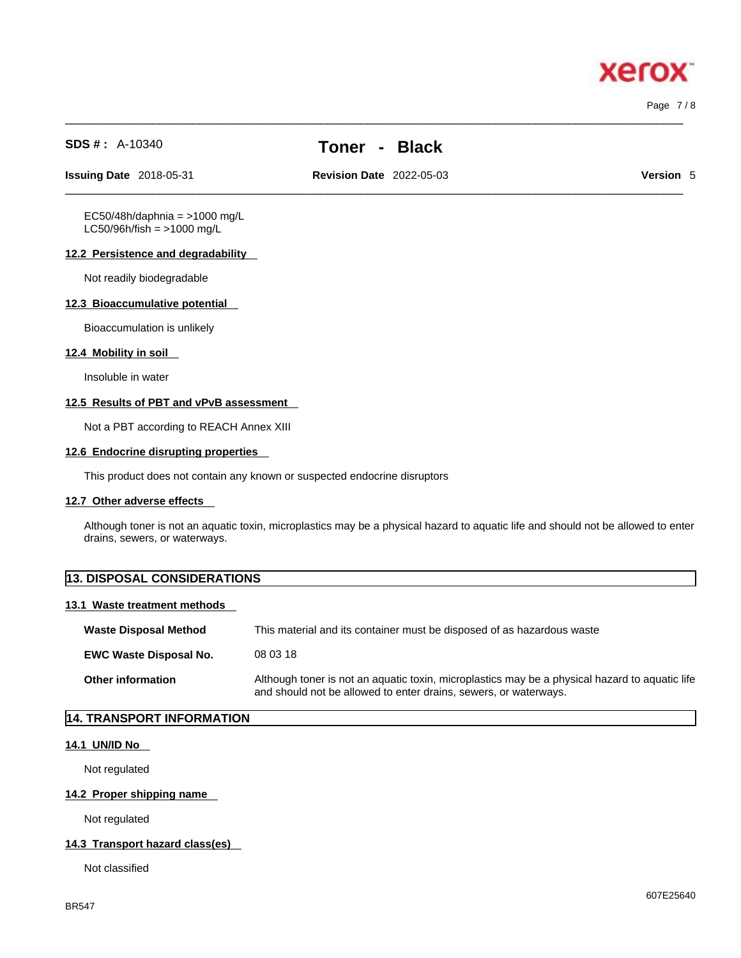Page 7 / 8

хего

**SDS # :** A-10340 **Toner - Black**

 $\_$  ,  $\_$  ,  $\_$  ,  $\_$  ,  $\_$  ,  $\_$  ,  $\_$  ,  $\_$  ,  $\_$  ,  $\_$  ,  $\_$  ,  $\_$  ,  $\_$  ,  $\_$  ,  $\_$  ,  $\_$  ,  $\_$  ,  $\_$  ,  $\_$  ,  $\_$  ,  $\_$  ,  $\_$  ,  $\_$  ,  $\_$  ,  $\_$  ,  $\_$  ,  $\_$  ,  $\_$  ,  $\_$  ,  $\_$  ,  $\_$  ,  $\_$  ,  $\_$  ,  $\_$  ,  $\_$  ,  $\_$  ,  $\_$  ,

**Issuing Date** 2018-05-31 **Revision Date** 2022-05-03 **Version** 5

 $\_$  ,  $\_$  ,  $\_$  ,  $\_$  ,  $\_$  ,  $\_$  ,  $\_$  ,  $\_$  ,  $\_$  ,  $\_$  ,  $\_$  ,  $\_$  ,  $\_$  ,  $\_$  ,  $\_$  ,  $\_$  ,  $\_$  ,  $\_$  ,  $\_$  ,  $\_$  ,  $\_$  ,  $\_$  ,  $\_$  ,  $\_$  ,  $\_$  ,  $\_$  ,  $\_$  ,  $\_$  ,  $\_$  ,  $\_$  ,  $\_$  ,  $\_$  ,  $\_$  ,  $\_$  ,  $\_$  ,  $\_$  ,  $\_$  ,

 $EC50/48h/daphnia = >1000 mg/L$  $LC50/96h/fish = >1000 mg/L$ 

#### **12.2 Persistence and degradability**

Not readily biodegradable

#### **12.3 Bioaccumulative potential**

Bioaccumulation is unlikely

#### **12.4 Mobility in soil**

Insoluble in water

#### **12.5 Results of PBT and vPvB assessment**

Not a PBT according to REACH Annex XIII

#### **12.6 Endocrine disrupting properties**

This product does not contain any known or suspected endocrine disruptors

#### **12.7 Other adverse effects**

Although toner is not an aquatic toxin, microplastics may be a physical hazard to aquatic life and should not be allowed to enter drains, sewers, or waterways.

| <b>13. DISPOSAL CONSIDERATIONS</b> |                                                                                                                                                                    |
|------------------------------------|--------------------------------------------------------------------------------------------------------------------------------------------------------------------|
| 13.1 Waste treatment methods       |                                                                                                                                                                    |
| <b>Waste Disposal Method</b>       | This material and its container must be disposed of as hazardous waste                                                                                             |
| <b>EWC Waste Disposal No.</b>      | 08 03 18                                                                                                                                                           |
| Other information                  | Although toner is not an aquatic toxin, microplastics may be a physical hazard to aquatic life<br>and should not be allowed to enter drains, sewers, or waterways. |

### **14. TRANSPORT INFORMATION**

#### **14.1 UN/ID No**

Not regulated

#### **14.2 Proper shipping name**

Not regulated

#### **14.3 Transport hazard class(es)**

Not classified